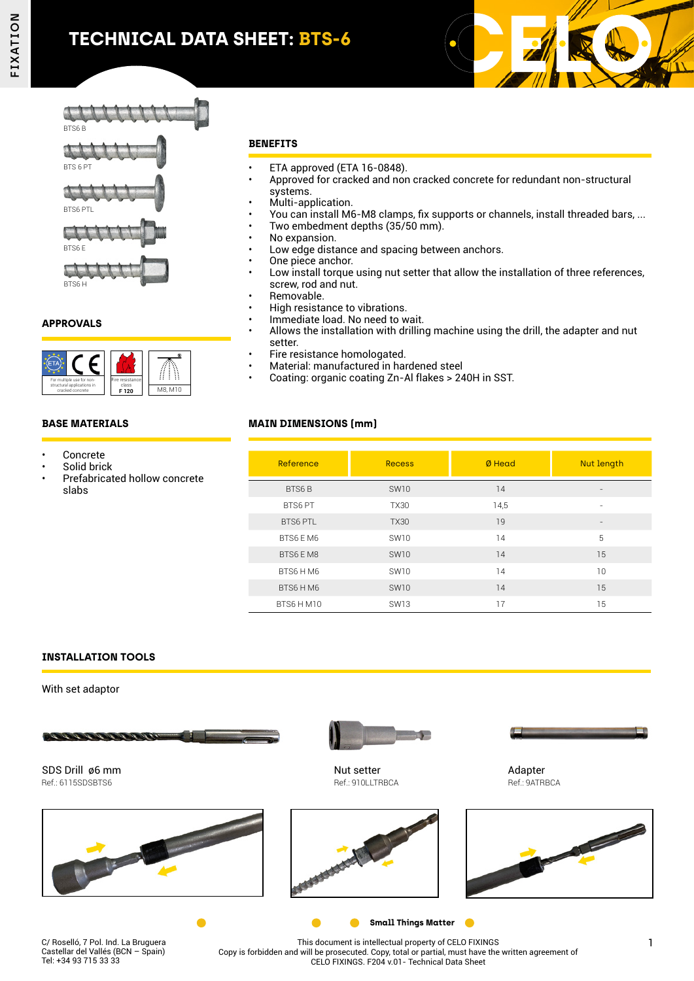# **TECHNICAL DATA SHEET: BTS-6**











BTS6 H

## **APPROVALS**



#### **BASE MATERIALS**

- Concrete
- Solid brick
- Prefabricated hollow concrete slabs

#### **BENEFITS**

- ETA approved (ETA 16-0848).
- Approved for cracked and non cracked concrete for redundant non-structural systems.
- Multi-application.
- You can install M6-M8 clamps, fix supports or channels, install threaded bars, ...
- Two embedment depths (35/50 mm).
- No expansion.
- Low edge distance and spacing between anchors.
- One piece anchor.
- Low install torque using nut setter that allow the installation of three references, screw, rod and nut.
- Removable.
- High resistance to vibrations.
- Immediate load. No need to wait.
- Allows the installation with drilling machine using the drill, the adapter and nut setter.
- Fire resistance homologated.
- Material: manufactured in hardened steel
- Coating: organic coating Zn-Al flakes > 240H in SST.

## **MAIN DIMENSIONS (mm)**

| Reference       | <b>Recess</b> | Ø Head | Nut length               |
|-----------------|---------------|--------|--------------------------|
| BTS6B           | <b>SW10</b>   | 14     | $\overline{\phantom{a}}$ |
| BTS6 PT         | <b>TX30</b>   | 14,5   |                          |
| <b>BTS6 PTL</b> | <b>TX30</b>   | 19     |                          |
| BTS6 EM6        | <b>SW10</b>   | 14     | 5                        |
| BTS6 EM8        | <b>SW10</b>   | 14     | 15                       |
| BTS6 HM6        | <b>SW10</b>   | 14     | 10                       |
| BTS6 HM6        | <b>SW10</b>   | 14     | 15                       |
| BTS6 HM10       | <b>SW13</b>   | 17     | 15                       |

### **INSTALLATION TOOLS**

With set adaptor

Tel: +34 93 715 33 33



Copy is forbidden and will be prosecuted. Copy, total or partial, must have the written agreement of CELO FIXINGS. F204 v.01- Technical Data Sheet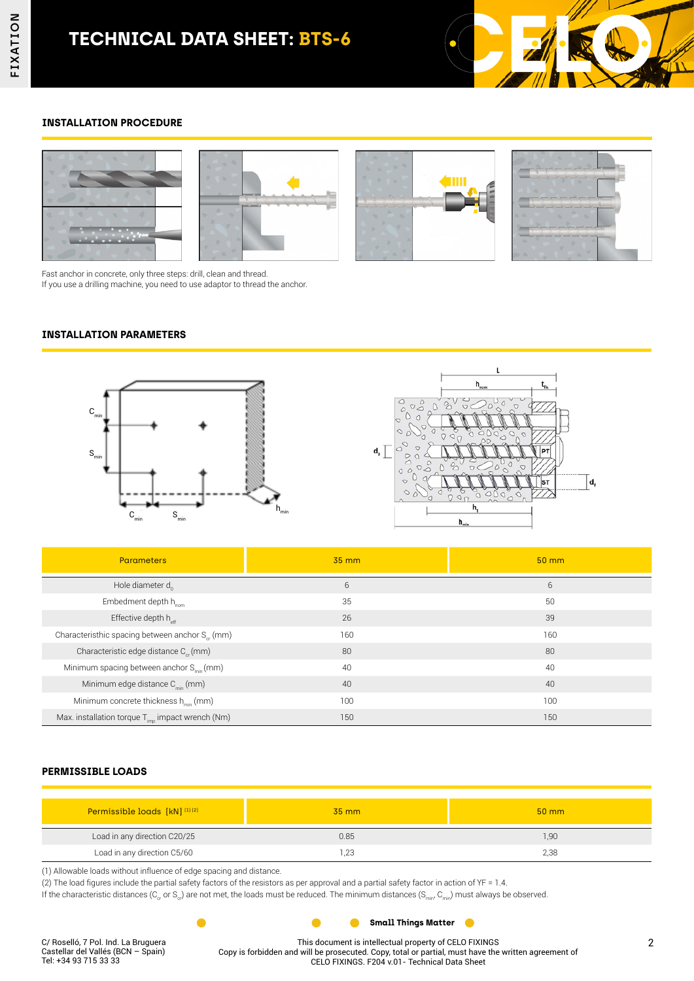

### **INSTALLATION PROCEDURE**



Fast anchor in concrete, only three steps: drill, clean and thread. If you use a drilling machine, you need to use adaptor to thread the anchor.

#### **INSTALLATION PARAMETERS**





| <b>Parameters</b>                                           | $35 \, \text{mm}$ | $50 \, \text{mm}$ |
|-------------------------------------------------------------|-------------------|-------------------|
| Hole diameter $d_0$                                         | 6                 | 6                 |
| Embedment depth h <sub>nom</sub>                            | 35                | 50                |
| Effective depth $h_{\text{eff}}$                            | 26                | 39                |
| Characteristhic spacing between anchor S <sub>or</sub> (mm) | 160               | 160               |
| Characteristic edge distance C <sub>cr</sub> (mm)           | 80                | 80                |
| Minimum spacing between anchor S <sub>min</sub> (mm)        | 40                | 40                |
| Minimum edge distance $C_{\text{min}}$ (mm)                 | 40                | 40                |
| Minimum concrete thickness h <sub>min</sub> (mm)            | 100               | 100               |
| Max. installation torque $T_{imp}$ impact wrench (Nm)       | 150               | 150               |

#### **PERMISSIBLE LOADS**

| Permissible loads [kN] <sup>(1)(2)</sup> | $35 \text{ mm}$ | $50 \text{ mm}$ |
|------------------------------------------|-----------------|-----------------|
| Load in any direction C20/25             | 0.85            | 1,90            |
| Load in any direction C5/60              | ാ               | 2,38            |

 $\bullet$ 

(1) Allowable loads without influence of edge spacing and distance.

 $\bullet$ 

(2) The load figures include the partial safety factors of the resistors as per approval and a partial safety factor in action of ϒF = 1.4.

If the characteristic distances ( $C_{cr}$  or  $S_{cr}$ ) are not met, the loads must be reduced. The minimum distances ( $S_{min}$ ,  $C_{min}$ ) must always be observed.

 $\bullet$ 

This document is intellectual property of CELO FIXINGS Copy is forbidden and will be prosecuted. Copy, total or partial, must have the written agreement of CELO FIXINGS. F204 v.01- Technical Data Sheet

**Small Things Matter**